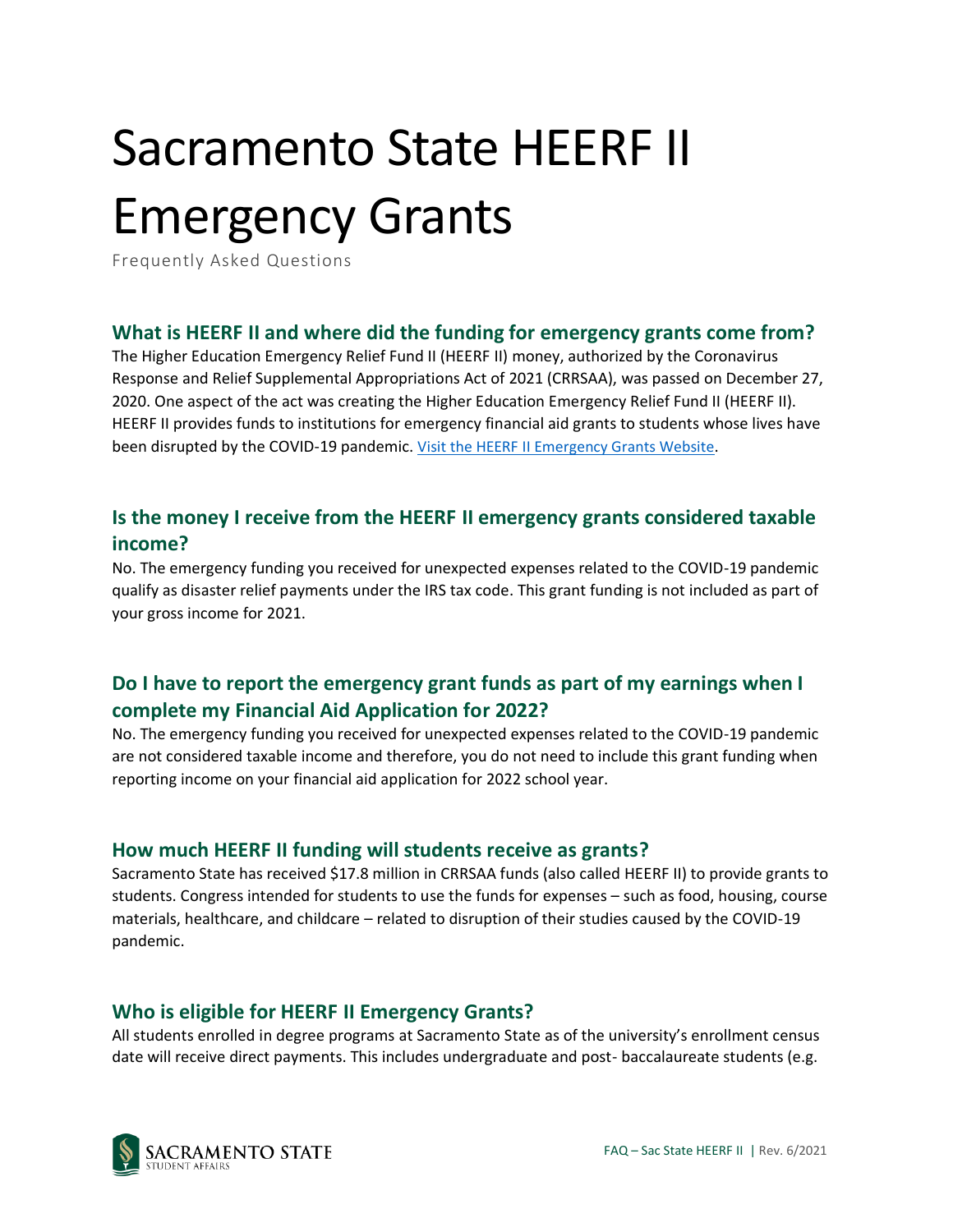# Sacramento State HEERF II Emergency Grants

Frequently Asked Questions

## **What is HEERF II and where did the funding for emergency grants come from?**

The Higher Education Emergency Relief Fund II (HEERF II) money, authorized by the Coronavirus Response and Relief Supplemental Appropriations Act of 2021 (CRRSAA), was passed on December 27, 2020. One aspect of the act was creating the Higher Education Emergency Relief Fund II (HEERF II). HEERF II provides funds to institutions for emergency financial aid grants to students whose lives have been disrupted by the COVID-19 pandemic. Visit the HEERF II [Emergency Grants Website](https://www.csus.edu/student-affairs/emergency-student-information/heerf-emergency-grants.html).

# **Is the money I receive from the HEERF II emergency grants considered taxable income?**

No. The emergency funding you received for unexpected expenses related to the COVID-19 pandemic qualify as disaster relief payments under the IRS tax code. This grant funding is not included as part of your gross income for 2021.

# **Do I have to report the emergency grant funds as part of my earnings when I complete my Financial Aid Application for 2022?**

No. The emergency funding you received for unexpected expenses related to the COVID-19 pandemic are not considered taxable income and therefore, you do not need to include this grant funding when reporting income on your financial aid application for 2022 school year.

## **How much HEERF II funding will students receive as grants?**

Sacramento State has received \$17.8 million in CRRSAA funds (also called HEERF II) to provide grants to students. Congress intended for students to use the funds for expenses – such as food, housing, course materials, healthcare, and childcare – related to disruption of their studies caused by the COVID-19 pandemic.

## **Who is eligible for HEERF II Emergency Grants?**

All students enrolled in degree programs at Sacramento State as of the university's enrollment census date will receive direct payments. This includes undergraduate and post- baccalaureate students (e.g.

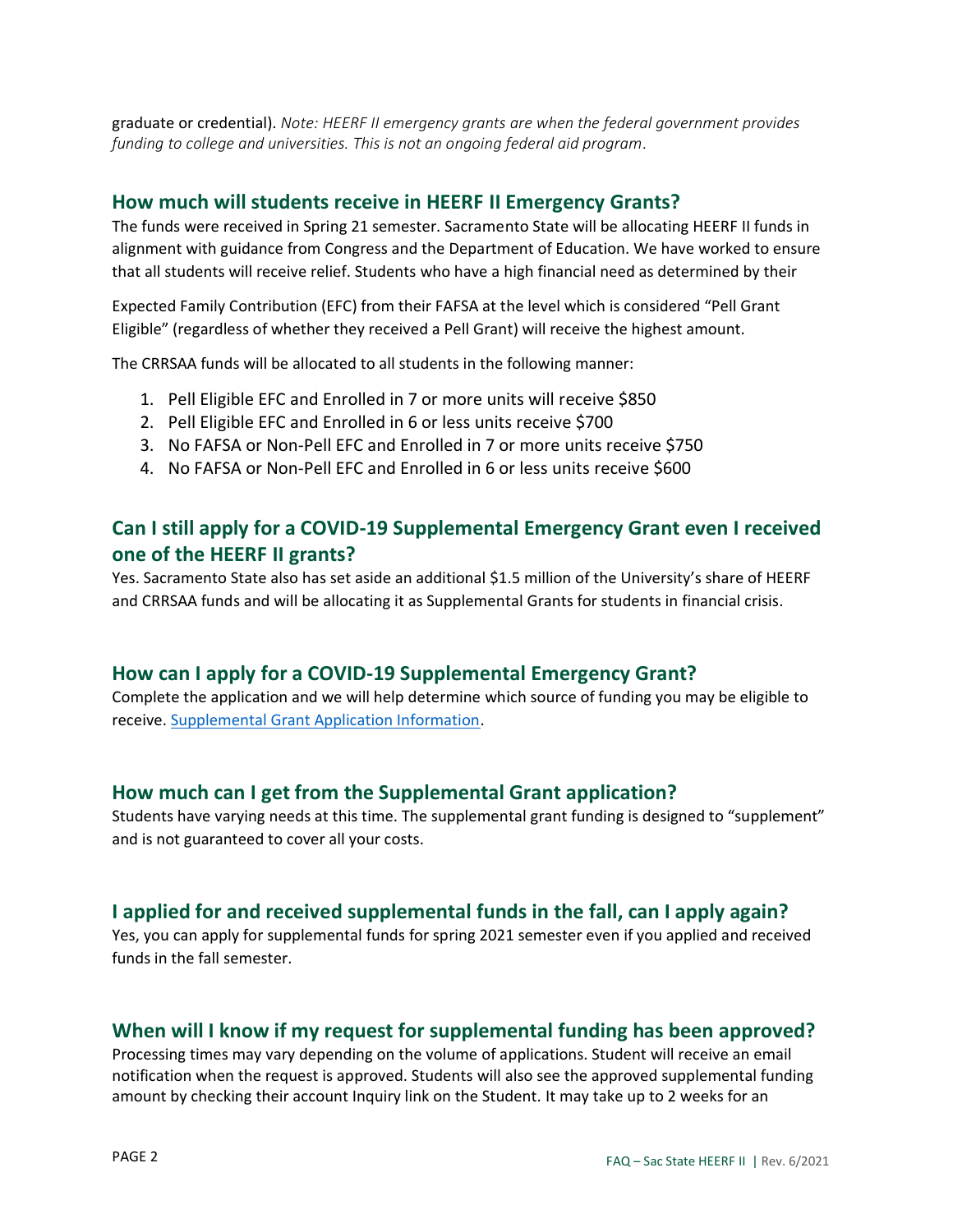graduate or credential). *Note: HEERF II emergency grants are when the federal government provides funding to college and universities. This is not an ongoing federal aid program.*

#### **How much will students receive in HEERF II Emergency Grants?**

The funds were received in Spring 21 semester. Sacramento State will be allocating HEERF II funds in alignment with guidance from Congress and the Department of Education. We have worked to ensure that all students will receive relief. Students who have a high financial need as determined by their

Expected Family Contribution (EFC) from their FAFSA at the level which is considered "Pell Grant Eligible" (regardless of whether they received a Pell Grant) will receive the highest amount.

The CRRSAA funds will be allocated to all students in the following manner:

- 1. Pell Eligible EFC and Enrolled in 7 or more units will receive \$850
- 2. Pell Eligible EFC and Enrolled in 6 or less units receive \$700
- 3. No FAFSA or Non-Pell EFC and Enrolled in 7 or more units receive \$750
- 4. No FAFSA or Non-Pell EFC and Enrolled in 6 or less units receive \$600

## **Can I still apply for a COVID-19 Supplemental Emergency Grant even I received one of the HEERF II grants?**

Yes. Sacramento State also has set aside an additional \$1.5 million of the University's share of HEERF and CRRSAA funds and will be allocating it as Supplemental Grants for students in financial crisis.

#### **How can I apply for a COVID-19 Supplemental Emergency Grant?**

Complete the application and we will help determine which source of funding you may be eligible to receive[. Supplemental Grant Application Information.](https://www.csus.edu/student-affairs/emergency-student-information/heerf-emergency-grants.html#covid-19-student-relief-aid-student-emergency-fund)

#### **How much can I get from the Supplemental Grant application?**

Students have varying needs at this time. The supplemental grant funding is designed to "supplement" and is not guaranteed to cover all your costs.

#### **I applied for and received supplemental funds in the fall, can I apply again?**

Yes, you can apply for supplemental funds for spring 2021 semester even if you applied and received funds in the fall semester.

#### **When will I know if my request for supplemental funding has been approved?**

Processing times may vary depending on the volume of applications. Student will receive an email notification when the request is approved. Students will also see the approved supplemental funding amount by checking their account Inquiry link on the Student. It may take up to 2 weeks for an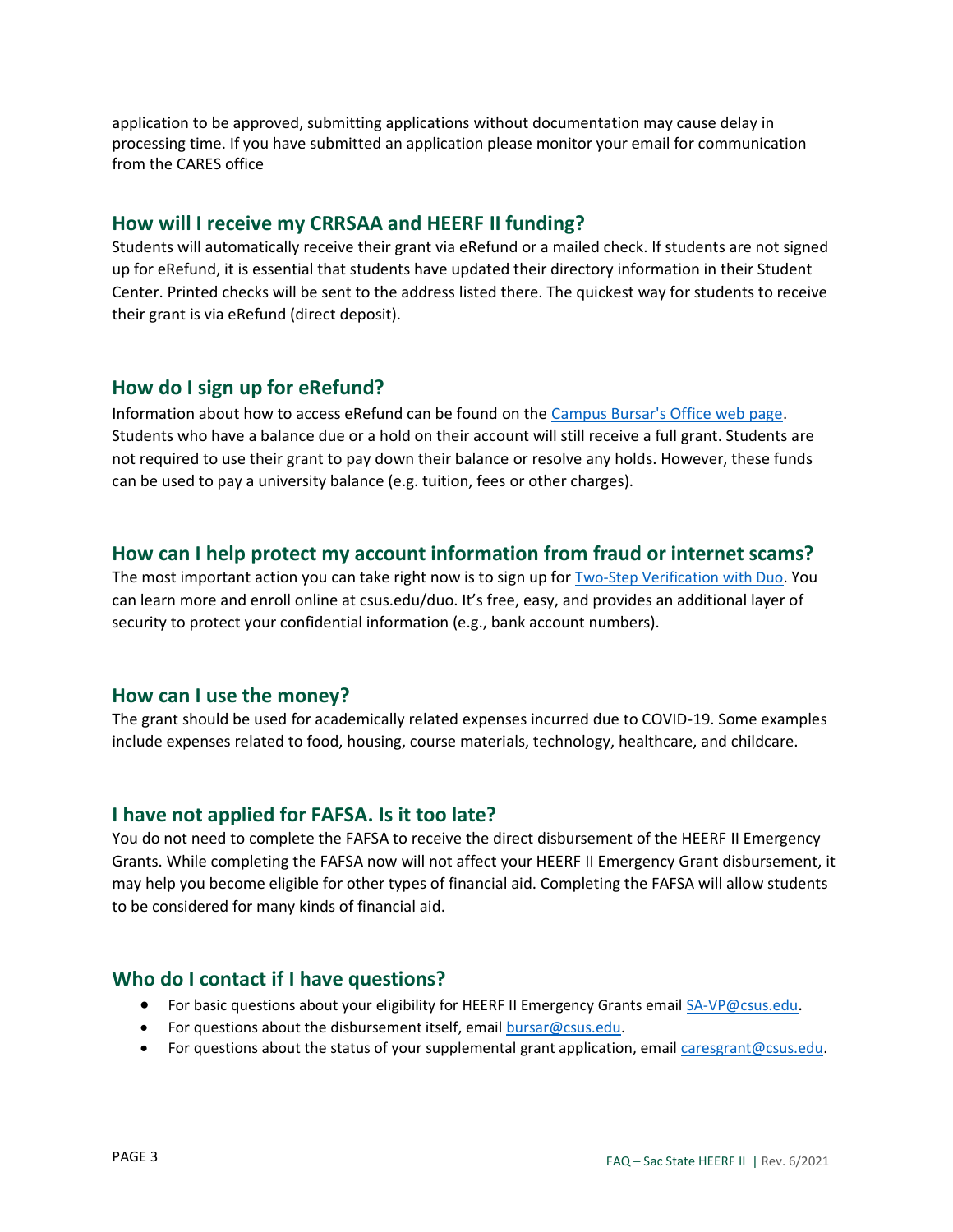application to be approved, submitting applications without documentation may cause delay in processing time. If you have submitted an application please monitor your email for communication from the CARES office

## **How will I receive my CRRSAA and HEERF II funding?**

Students will automatically receive their grant via eRefund or a mailed check. If students are not signed up for eRefund, it is essential that students have updated their directory information in their Student Center. Printed checks will be sent to the address listed there. The quickest way for students to receive their grant is via eRefund (direct deposit).

## **How do I sign up for eRefund?**

Information about how to access eRefund can be found on the [Campus Bursar's Office web page.](https://www.csus.edu/administration-business-affairs/bursar/) Students who have a balance due or a hold on their account will still receive a full grant. Students are not required to use their grant to pay down their balance or resolve any holds. However, these funds can be used to pay a university balance (e.g. tuition, fees or other charges).

## **How can I help protect my account information from fraud or internet scams?**

The most important action you can take right now is to sign up for [Two-Step Verification with Duo](http://csus.edu/duo). You can learn more and enroll online at csus.edu/duo. It's free, easy, and provides an additional layer of security to protect your confidential information (e.g., bank account numbers).

## **How can I use the money?**

The grant should be used for academically related expenses incurred due to COVID-19. Some examples include expenses related to food, housing, course materials, technology, healthcare, and childcare.

## **I have not applied for FAFSA. Is it too late?**

You do not need to complete the FAFSA to receive the direct disbursement of the HEERF II Emergency Grants. While completing the FAFSA now will not affect your HEERF II Emergency Grant disbursement, it may help you become eligible for other types of financial aid. Completing the FAFSA will allow students to be considered for many kinds of financial aid.

## **Who do I contact if I have questions?**

- For basic questions about your eligibility for HEERF II Emergency Grants emai[l SA-VP@csus.edu](mailto:SA-VP@csus.edu).
- For questions about the disbursement itself, email [bursar@csus.edu.](mailto:bursar@csus.edu)
- For questions about the status of your supplemental grant application, email [caresgrant@csus.edu.](mailto:caresgrant@csus.edu)